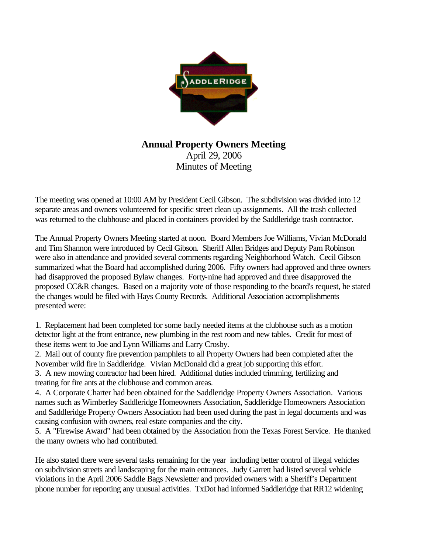

## **Annual Property Owners Meeting** April 29, 2006 Minutes of Meeting

The meeting was opened at 10:00 AM by President Cecil Gibson. The subdivision was divided into 12 separate areas and owners volunteered for specific street clean up assignments. All the trash collected was returned to the clubhouse and placed in containers provided by the Saddleridge trash contractor.

The Annual Property Owners Meeting started at noon. Board Members Joe Williams, Vivian McDonald and Tim Shannon were introduced by Cecil Gibson. Sheriff Allen Bridges and Deputy Pam Robinson were also in attendance and provided several comments regarding Neighborhood Watch. Cecil Gibson summarized what the Board had accomplished during 2006. Fifty owners had approved and three owners had disapproved the proposed Bylaw changes. Forty-nine had approved and three disapproved the proposed CC&R changes. Based on a majority vote of those responding to the board's request, he stated the changes would be filed with Hays County Records. Additional Association accomplishments presented were:

1. Replacement had been completed for some badly needed items at the clubhouse such as a motion detector light at the front entrance, new plumbing in the rest room and new tables. Credit for most of these items went to Joe and Lynn Williams and Larry Crosby.

2. Mail out of county fire prevention pamphlets to all Property Owners had been completed after the November wild fire in Saddleridge. Vivian McDonald did a great job supporting this effort.

3. A new mowing contractor had been hired. Additional duties included trimming, fertilizing and treating for fire ants at the clubhouse and common areas.

4. A Corporate Charter had been obtained for the Saddleridge Property Owners Association. Various names such as Wimberley Saddleridge Homeowners Association, Saddleridge Homeowners Association and Saddleridge Property Owners Association had been used during the past in legal documents and was causing confusion with owners, real estate companies and the city.

5. A "Firewise Award" had been obtained by the Association from the Texas Forest Service. He thanked the many owners who had contributed.

He also stated there were several tasks remaining for the year including better control of illegal vehicles on subdivision streets and landscaping for the main entrances. Judy Garrett had listed several vehicle violations in the April 2006 Saddle Bags Newsletter and provided owners with a Sheriff's Department phone number for reporting any unusual activities. TxDot had informed Saddleridge that RR12 widening